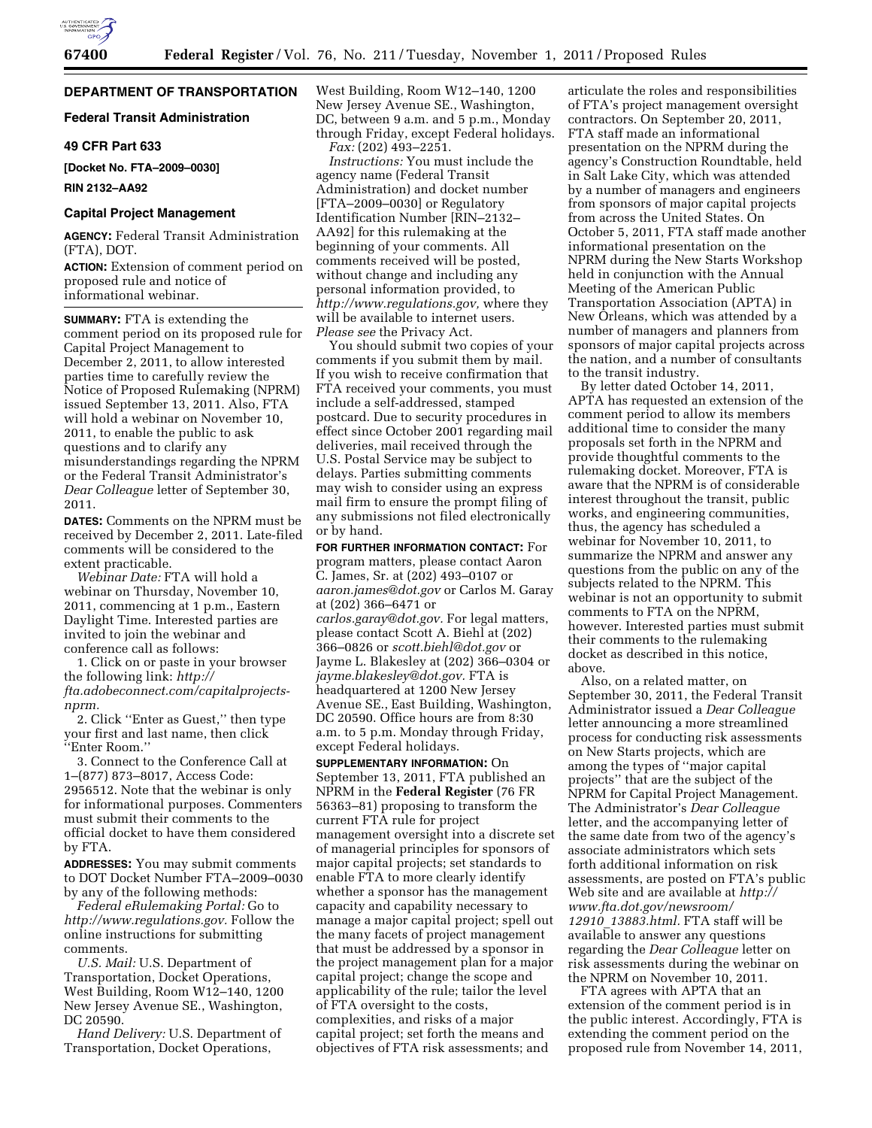

## **DEPARTMENT OF TRANSPORTATION**

# **Federal Transit Administration**

### **49 CFR Part 633**

**[Docket No. FTA–2009–0030]** 

**RIN 2132–AA92** 

### **Capital Project Management**

**AGENCY:** Federal Transit Administration (FTA), DOT.

**ACTION:** Extension of comment period on proposed rule and notice of informational webinar.

**SUMMARY:** FTA is extending the comment period on its proposed rule for Capital Project Management to December 2, 2011, to allow interested parties time to carefully review the Notice of Proposed Rulemaking (NPRM) issued September 13, 2011. Also, FTA will hold a webinar on November 10, 2011, to enable the public to ask questions and to clarify any misunderstandings regarding the NPRM or the Federal Transit Administrator's *Dear Colleague* letter of September 30, 2011.

**DATES:** Comments on the NPRM must be received by December 2, 2011. Late-filed comments will be considered to the extent practicable.

*Webinar Date:* FTA will hold a webinar on Thursday, November 10, 2011, commencing at 1 p.m., Eastern Daylight Time. Interested parties are invited to join the webinar and conference call as follows:

1. Click on or paste in your browser the following link: *[http://](http://fta.adobeconnect.com/capitalprojects-nprm)  [fta.adobeconnect.com/capitalprojects](http://fta.adobeconnect.com/capitalprojects-nprm)[nprm.](http://fta.adobeconnect.com/capitalprojects-nprm)* 

2. Click ''Enter as Guest,'' then type your first and last name, then click ''Enter Room.''

3. Connect to the Conference Call at 1–(877) 873–8017, Access Code: 2956512. Note that the webinar is only for informational purposes. Commenters must submit their comments to the official docket to have them considered by FTA.

**ADDRESSES:** You may submit comments to DOT Docket Number FTA–2009–0030 by any of the following methods:

*Federal eRulemaking Portal:* Go to *[http://www.regulations.gov.](http://www.regulations.gov)* Follow the online instructions for submitting comments.

*U.S. Mail:* U.S. Department of Transportation, Docket Operations, West Building, Room W12–140, 1200 New Jersey Avenue SE., Washington, DC 20590.

*Hand Delivery:* U.S. Department of Transportation, Docket Operations,

West Building, Room W12–140, 1200 New Jersey Avenue SE., Washington, DC, between 9 a.m. and 5 p.m., Monday through Friday, except Federal holidays. *Fax:* (202) 493–2251.

*Instructions:* You must include the agency name (Federal Transit Administration) and docket number [FTA–2009–0030] or Regulatory Identification Number [RIN–2132– AA92] for this rulemaking at the beginning of your comments. All comments received will be posted, without change and including any personal information provided, to *[http://www.regulations.gov,](http://www.regulations.gov)* where they will be available to internet users. *Please see* the Privacy Act.

You should submit two copies of your comments if you submit them by mail. If you wish to receive confirmation that FTA received your comments, you must include a self-addressed, stamped postcard. Due to security procedures in effect since October 2001 regarding mail deliveries, mail received through the U.S. Postal Service may be subject to delays. Parties submitting comments may wish to consider using an express mail firm to ensure the prompt filing of any submissions not filed electronically or by hand.

**FOR FURTHER INFORMATION CONTACT:** For program matters, please contact Aaron C. James, Sr. at (202) 493–0107 or *[aaron.james@dot.gov](mailto:aaron.james@dot.gov)* or Carlos M. Garay at (202) 366–6471 or *[carlos.garay@dot.gov.](mailto:carlos.garay@dot.gov)* For legal matters, please contact Scott A. Biehl at (202) 366–0826 or *[scott.biehl@dot.gov](mailto:scott.biehl@dot.gov)* or Jayme L. Blakesley at (202) 366–0304 or *[jayme.blakesley@dot.gov.](mailto:jayme.blakesley@dot.gov)* FTA is headquartered at 1200 New Jersey Avenue SE., East Building, Washington, DC 20590. Office hours are from 8:30 a.m. to 5 p.m. Monday through Friday, except Federal holidays.

**SUPPLEMENTARY INFORMATION:** On September 13, 2011, FTA published an NPRM in the **Federal Register** (76 FR 56363–81) proposing to transform the current FTA rule for project management oversight into a discrete set of managerial principles for sponsors of major capital projects; set standards to enable FTA to more clearly identify whether a sponsor has the management capacity and capability necessary to manage a major capital project; spell out the many facets of project management that must be addressed by a sponsor in the project management plan for a major capital project; change the scope and applicability of the rule; tailor the level of FTA oversight to the costs, complexities, and risks of a major capital project; set forth the means and objectives of FTA risk assessments; and

articulate the roles and responsibilities of FTA's project management oversight contractors. On September 20, 2011, FTA staff made an informational presentation on the NPRM during the agency's Construction Roundtable, held in Salt Lake City, which was attended by a number of managers and engineers from sponsors of major capital projects from across the United States. On October 5, 2011, FTA staff made another informational presentation on the NPRM during the New Starts Workshop held in conjunction with the Annual Meeting of the American Public Transportation Association (APTA) in New Orleans, which was attended by a number of managers and planners from sponsors of major capital projects across the nation, and a number of consultants to the transit industry.

By letter dated October 14, 2011, APTA has requested an extension of the comment period to allow its members additional time to consider the many proposals set forth in the NPRM and provide thoughtful comments to the rulemaking docket. Moreover, FTA is aware that the NPRM is of considerable interest throughout the transit, public works, and engineering communities, thus, the agency has scheduled a webinar for November 10, 2011, to summarize the NPRM and answer any questions from the public on any of the subjects related to the NPRM. This webinar is not an opportunity to submit comments to FTA on the NPRM, however. Interested parties must submit their comments to the rulemaking docket as described in this notice, above.

Also, on a related matter, on September 30, 2011, the Federal Transit Administrator issued a *Dear Colleague*  letter announcing a more streamlined process for conducting risk assessments on New Starts projects, which are among the types of ''major capital projects'' that are the subject of the NPRM for Capital Project Management. The Administrator's *Dear Colleague*  letter, and the accompanying letter of the same date from two of the agency's associate administrators which sets forth additional information on risk assessments, are posted on FTA's public Web site and are available at *[http://](http://www.fta.dot.gov/newsroom/12910_13883.html)  [www.fta.dot.gov/newsroom/](http://www.fta.dot.gov/newsroom/12910_13883.html) 12910*\_*[13883.html.](http://www.fta.dot.gov/newsroom/12910_13883.html)* FTA staff will be available to answer any questions regarding the *Dear Colleague* letter on risk assessments during the webinar on the NPRM on November 10, 2011.

FTA agrees with APTA that an extension of the comment period is in the public interest. Accordingly, FTA is extending the comment period on the proposed rule from November 14, 2011,